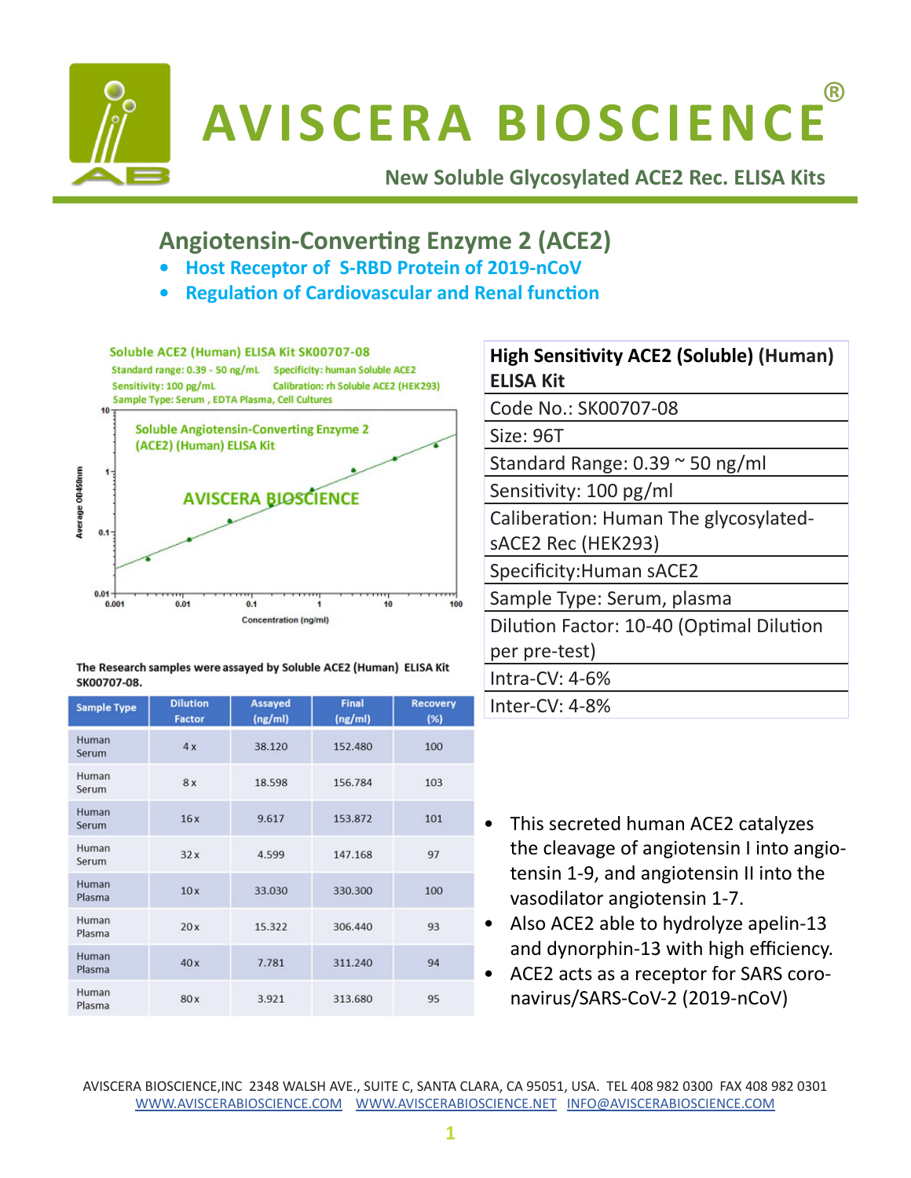

# **AVISCERA BIOSCIENCE** ®

**New Soluble Glycosylated ACE2 Rec. ELISA Kits** 

## **Angiotensin-Converting Enzyme 2 (ACE2)**

- **• Host Receptor of S-RBD Protein of 2019-nCoV**
- **• Regulation of Cardiovascular and Renal function**



| The Research samples were assayed by Soluble ACE2 (Human) ELISA Kit |  |
|---------------------------------------------------------------------|--|
| SK00707-08.                                                         |  |

| <b>Sample Type</b> | <b>Dilution</b><br><b>Factor</b> | <b>Assayed</b><br>(ng/ml) | <b>Final</b><br>(ng/ml) | <b>Recovery</b><br>(%) |
|--------------------|----------------------------------|---------------------------|-------------------------|------------------------|
| Human<br>Serum     | 4x                               | 38.120                    | 152.480                 | 100                    |
| Human<br>Serum     | 8x                               | 18.598                    | 156,784                 | 103                    |
| Human<br>Serum     | 16x                              | 9.617                     | 153.872                 | 101                    |
| Human<br>Serum     | 32x                              | 4.599                     | 147.168                 | 97                     |
| Human<br>Plasma    | 10x                              | 33.030                    | 330.300                 | 100                    |
| Human<br>Plasma    | 20x                              | 15.322                    | 306.440                 | 93                     |
| Human<br>Plasma    | 40x                              | 7.781                     | 311.240                 | 94                     |
| Human<br>Plasma    | 80x                              | 3.921                     | 313.680                 | 95                     |

| <b>High Sensitivity ACE2 (Soluble) (Human)</b><br><b>ELISA Kit</b> |
|--------------------------------------------------------------------|
| Code No.: SK00707-08                                               |
| Size: 96T                                                          |
| Standard Range: $0.39 \approx 50$ ng/ml                            |
| Sensitivity: 100 pg/ml                                             |
| Caliberation: Human The glycosylated-                              |
| sACE2 Rec (HEK293)                                                 |
| Specificity: Human sACE2                                           |
| Sample Type: Serum, plasma                                         |
| Dilution Factor: 10-40 (Optimal Dilution                           |
| per pre-test)                                                      |
| Intra-CV: $4-6%$                                                   |
| Inter-CV: $4-8%$                                                   |

- This secreted human ACE2 catalyzes the cleavage of angiotensin I into angiotensin 1-9, and angiotensin II into the vasodilator angiotensin 1-7.
- Also ACE2 able to hydrolyze apelin-13 and dynorphin-13 with high efficiency.
- ACE2 acts as a receptor for SARS coronavirus/SARS-CoV-2 (2019-nCoV)

AVISCERA BIOSCIENCE,INC 2348 WALSH AVE., SUITE C, SANTA CLARA, CA 95051, USA. TEL 408 982 0300 FAX 408 982 0301 WWW.AVISCERABIOSCIENCE.COM WWW.AVISCERABIOSCIENCE.NET INFO@AVISCERABIOSCIENCE.COM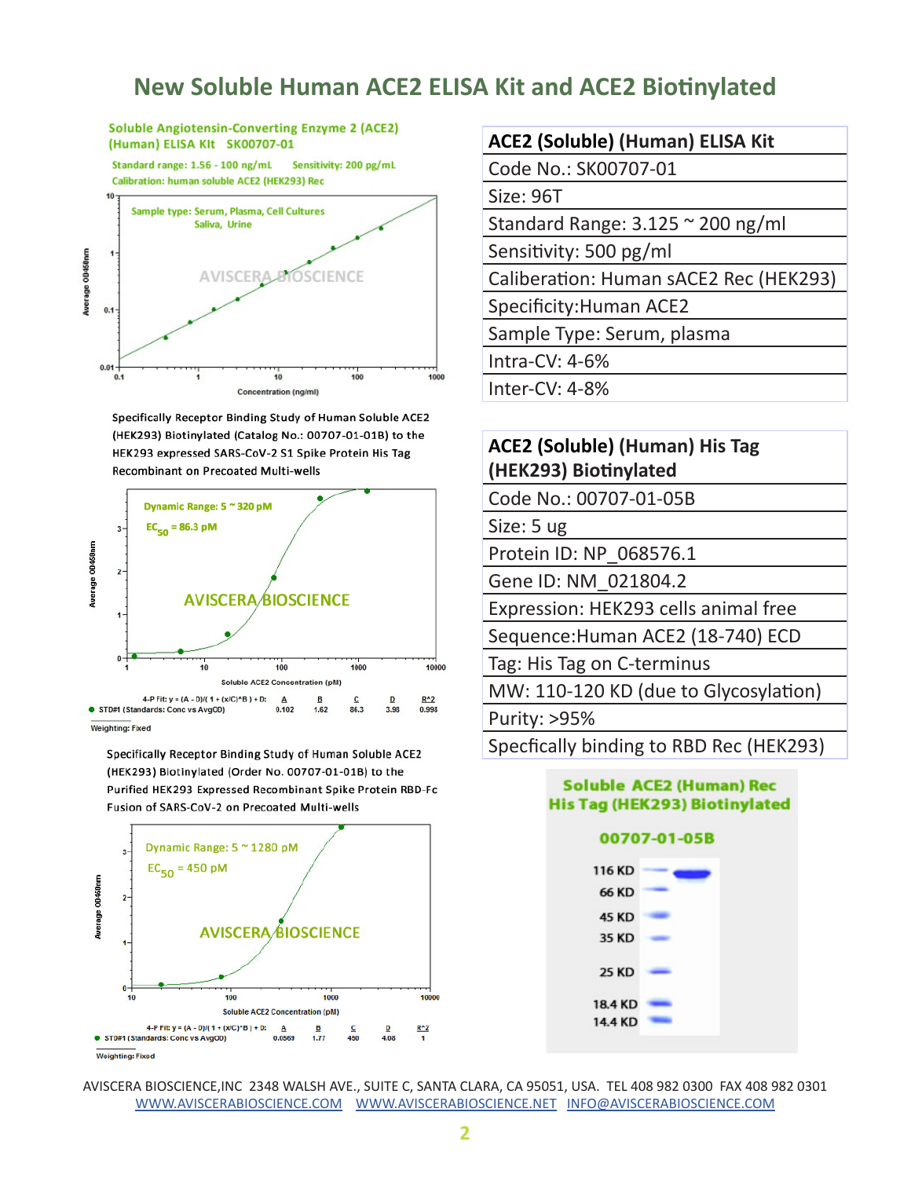### **New Soluble Human ACE2 ELISA Kit and ACE2 Biotinylated**

**Soluble Angiotensin-Converting Enzyme 2 (ACE2)** (Human) ELISA KIt SK00707-01

Standard range: 1.56 - 100 ng/mL Sensitivity: 200 pg/mL Calibration: human soluble ACE2 (HEK293) Rec



Specifically Receptor Binding Study of Human Soluble ACE2 (HEK293) Biotinylated (Catalog No.: 00707-01-01B) to the HEK293 expressed SARS-CoV-2 S1 Spike Protein His Tag **Recombinant on Precoated Multi-wells** 



Weighting: Fixed

Specifically Receptor Binding Study of Human Soluble ACE2 (HEK293) Biotinylated (Order No. 00707-01-01B) to the Purified HEK293 Expressed Recombinant Spike Protein RBD-Fc Fusion of SARS-CoV-2 on Precoated Multi-wells



#### **ACE2 (Soluble) (Human) ELISA Kit**

Code No.: SK00707-01

Size: 96T

Standard Range: 3.125 ~ 200 ng/ml

Sensitivity: 500 pg/ml

Caliberation: Human sACE2 Rec (HEK293)

Specificity:Human ACE2

Sample Type: Serum, plasma

Intra-CV: 4-6%

Inter-CV: 4-8%

#### **ACE2 (Soluble) (Human) His Tag (HEK293) Biotinylated**

Code No.: 00707-01-05B

Size: 5 ug

Protein ID: NP\_068576.1

Gene ID: NM\_021804.2

Expression: HEK293 cells animal free

Sequence:Human ACE2 (18-740) ECD

Tag: His Tag on C-terminus

MW: 110-120 KD (due to Glycosylation)

Purity: >95%

Specfically binding to RBD Rec (HEK293)



AVISCERA BIOSCIENCE,INC 2348 WALSH AVE., SUITE C, SANTA CLARA, CA 95051, USA. TEL 408 982 0300 FAX 408 982 0301 WWW.AVISCERABIOSCIENCE.COM WWW.AVISCERABIOSCIENCE.NET INFO@AVISCERABIOSCIENCE.COM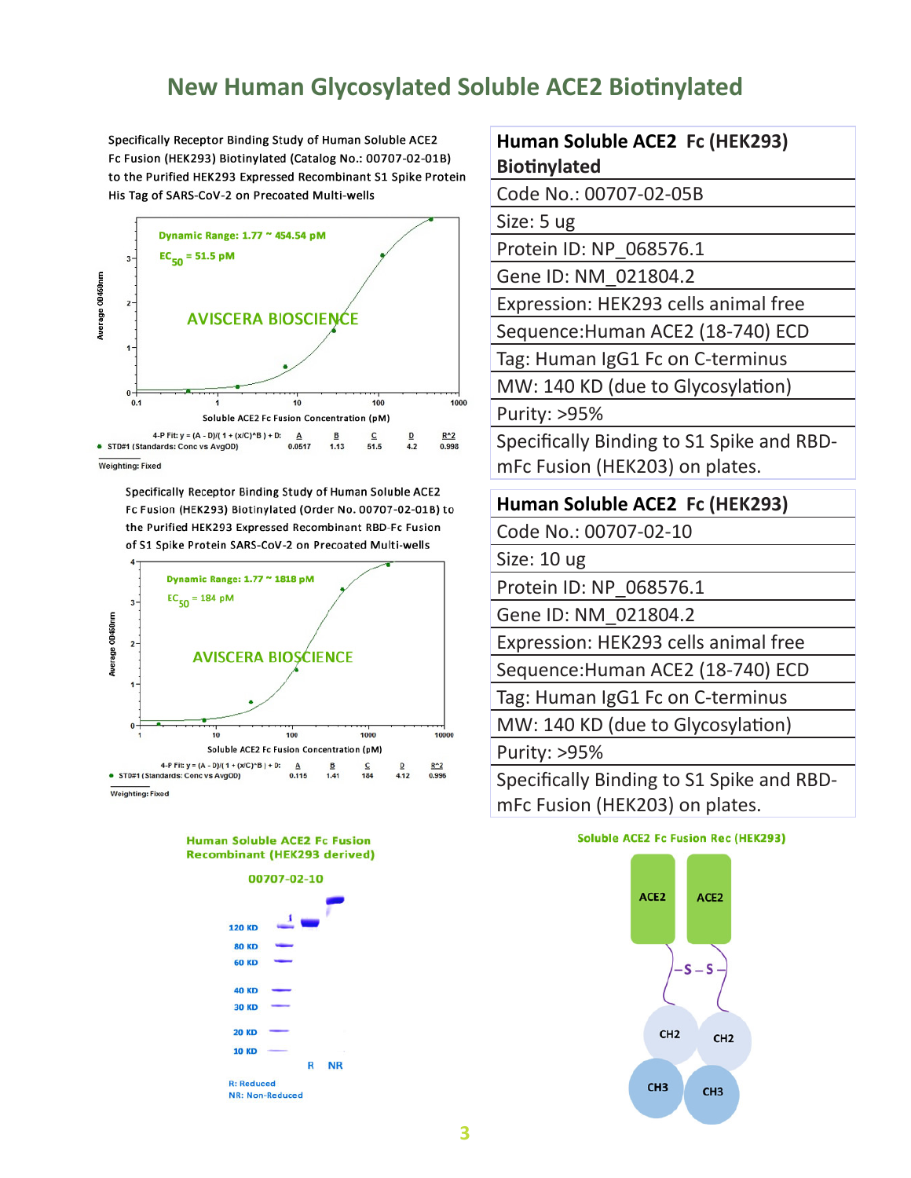### **New Human Glycosylated Soluble ACE2 Biotinylated**

Specifically Receptor Binding Study of Human Soluble ACE2 Fc Fusion (HEK293) Biotinylated (Catalog No.: 00707-02-01B) to the Purified HEK293 Expressed Recombinant S1 Spike Protein His Tag of SARS-CoV-2 on Precoated Multi-wells



Specifically Receptor Binding Study of Human Soluble ACE2 Fc Fusion (HEK293) Biotinylated (Order No. 00707-02-01B) to the Purified HEK293 Expressed Recombinant RBD-Fc Fusion of S1 Spike Protein SARS-CoV-2 on Precoated Multi-wells







#### **Human Soluble ACE2 Fc (HEK293) Biotinylated**

Code No.: 00707-02-05B

Size: 5 ug

Protein ID: NP\_068576.1

Gene ID: NM\_021804.2

Expression: HEK293 cells animal free

Sequence:Human ACE2 (18-740) ECD

Tag: Human IgG1 Fc on C-terminus

MW: 140 KD (due to Glycosylation)

Purity: >95%

Specifically Binding to S1 Spike and RBDmFc Fusion (HEK203) on plates.

#### **Human Soluble ACE2 Fc (HEK293)**

Code No.: 00707-02-10

Size: 10 ug

Protein ID: NP\_068576.1

Gene ID: NM\_021804.2

Expression: HEK293 cells animal free

Sequence:Human ACE2 (18-740) ECD

Tag: Human IgG1 Fc on C-terminus

MW: 140 KD (due to Glycosylation)

Purity: >95%

Specifically Binding to S1 Spike and RBDmFc Fusion (HEK203) on plates.

#### **Soluble ACE2 Fc Fusion Rec (HEK293)**